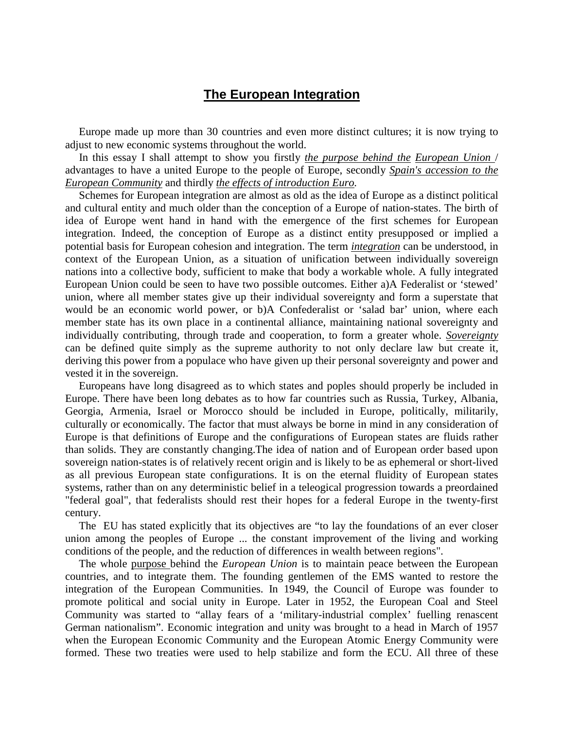## **The European Integration**

 Europe made up more than 30 countries and even more distinct cultures; it is now trying to adjust to new economic systems throughout the world.

 In this essay I shall attempt to show you firstly *the purpose behind the European Union* / advantages to have a united Europe to the people of Europe, secondly *Spain's accession to the European Community* and thirdly *the effects of introduction Euro.*

 Schemes for European integration are almost as old as the idea of Europe as a distinct political and cultural entity and much older than the conception of a Europe of nation-states. The birth of idea of Europe went hand in hand with the emergence of the first schemes for European integration. Indeed, the conception of Europe as a distinct entity presupposed or implied a potential basis for European cohesion and integration. The term *integration* can be understood, in context of the European Union, as a situation of unification between individually sovereign nations into a collective body, sufficient to make that body a workable whole. A fully integrated European Union could be seen to have two possible outcomes. Either a)A Federalist or 'stewed' union, where all member states give up their individual sovereignty and form a superstate that would be an economic world power, or b)A Confederalist or 'salad bar' union, where each member state has its own place in a continental alliance, maintaining national sovereignty and individually contributing, through trade and cooperation, to form a greater whole. *Sovereignty* can be defined quite simply as the supreme authority to not only declare law but create it, deriving this power from a populace who have given up their personal sovereignty and power and vested it in the sovereign.

 Europeans have long disagreed as to which states and poples should properly be included in Europe. There have been long debates as to how far countries such as Russia, Turkey, Albania, Georgia, Armenia, Israel or Morocco should be included in Europe, politically, militarily, culturally or economically. The factor that must always be borne in mind in any consideration of Europe is that definitions of Europe and the configurations of European states are fluids rather than solids. They are constantly changing.The idea of nation and of European order based upon sovereign nation-states is of relatively recent origin and is likely to be as ephemeral or short-lived as all previous European state configurations. It is on the eternal fluidity of European states systems, rather than on any deterministic belief in a teleogical progression towards a preordained "federal goal", that federalists should rest their hopes for a federal Europe in the twenty-first century.

 The EU has stated explicitly that its objectives are "to lay the foundations of an ever closer union among the peoples of Europe ... the constant improvement of the living and working conditions of the people, and the reduction of differences in wealth between regions".

 The whole purpose behind the *European Union* is to maintain peace between the European countries, and to integrate them. The founding gentlemen of the EMS wanted to restore the integration of the European Communities. In 1949, the Council of Europe was founder to promote political and social unity in Europe. Later in 1952, the European Coal and Steel Community was started to "allay fears of a 'military-industrial complex' fuelling renascent German nationalism". Economic integration and unity was brought to a head in March of 1957 when the European Economic Community and the European Atomic Energy Community were formed. These two treaties were used to help stabilize and form the ECU. All three of these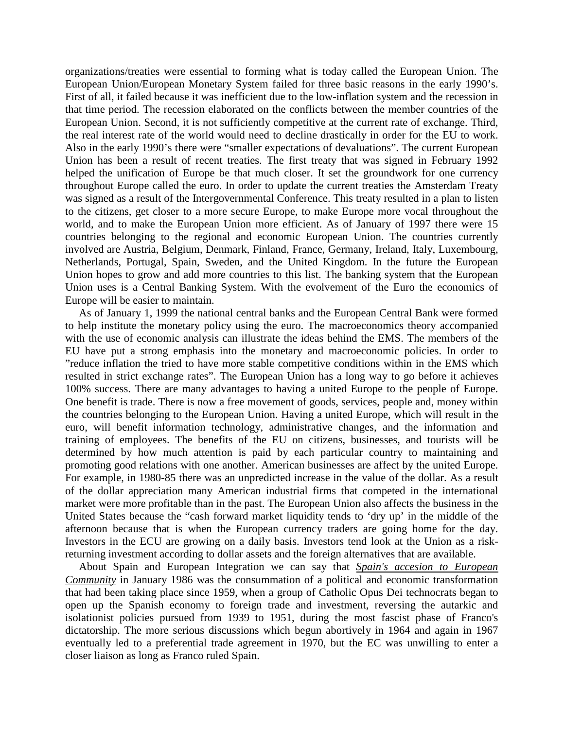organizations/treaties were essential to forming what is today called the European Union. The European Union/European Monetary System failed for three basic reasons in the early 1990's. First of all, it failed because it was inefficient due to the low-inflation system and the recession in that time period. The recession elaborated on the conflicts between the member countries of the European Union. Second, it is not sufficiently competitive at the current rate of exchange. Third, the real interest rate of the world would need to decline drastically in order for the EU to work. Also in the early 1990's there were "smaller expectations of devaluations". The current European Union has been a result of recent treaties. The first treaty that was signed in February 1992 helped the unification of Europe be that much closer. It set the groundwork for one currency throughout Europe called the euro. In order to update the current treaties the Amsterdam Treaty was signed as a result of the Intergovernmental Conference. This treaty resulted in a plan to listen to the citizens, get closer to a more secure Europe, to make Europe more vocal throughout the world, and to make the European Union more efficient. As of January of 1997 there were 15 countries belonging to the regional and economic European Union. The countries currently involved are Austria, Belgium, Denmark, Finland, France, Germany, Ireland, Italy, Luxembourg, Netherlands, Portugal, Spain, Sweden, and the United Kingdom. In the future the European Union hopes to grow and add more countries to this list. The banking system that the European Union uses is a Central Banking System. With the evolvement of the Euro the economics of Europe will be easier to maintain.

 As of January 1, 1999 the national central banks and the European Central Bank were formed to help institute the monetary policy using the euro. The macroeconomics theory accompanied with the use of economic analysis can illustrate the ideas behind the EMS. The members of the EU have put a strong emphasis into the monetary and macroeconomic policies. In order to "reduce inflation the tried to have more stable competitive conditions within in the EMS which resulted in strict exchange rates". The European Union has a long way to go before it achieves 100% success. There are many advantages to having a united Europe to the people of Europe. One benefit is trade. There is now a free movement of goods, services, people and, money within the countries belonging to the European Union. Having a united Europe, which will result in the euro, will benefit information technology, administrative changes, and the information and training of employees. The benefits of the EU on citizens, businesses, and tourists will be determined by how much attention is paid by each particular country to maintaining and promoting good relations with one another. American businesses are affect by the united Europe. For example, in 1980-85 there was an unpredicted increase in the value of the dollar. As a result of the dollar appreciation many American industrial firms that competed in the international market were more profitable than in the past. The European Union also affects the business in the United States because the "cash forward market liquidity tends to 'dry up' in the middle of the afternoon because that is when the European currency traders are going home for the day. Investors in the ECU are growing on a daily basis. Investors tend look at the Union as a riskreturning investment according to dollar assets and the foreign alternatives that are available.

 About Spain and European Integration we can say that *Spain's accesion to European Community* in January 1986 was the consummation of a political and economic transformation that had been taking place since 1959, when a group of Catholic Opus Dei technocrats began to open up the Spanish economy to foreign trade and investment, reversing the autarkic and isolationist policies pursued from 1939 to 1951, during the most fascist phase of Franco's dictatorship. The more serious discussions which begun abortively in 1964 and again in 1967 eventually led to a preferential trade agreement in 1970, but the EC was unwilling to enter a closer liaison as long as Franco ruled Spain.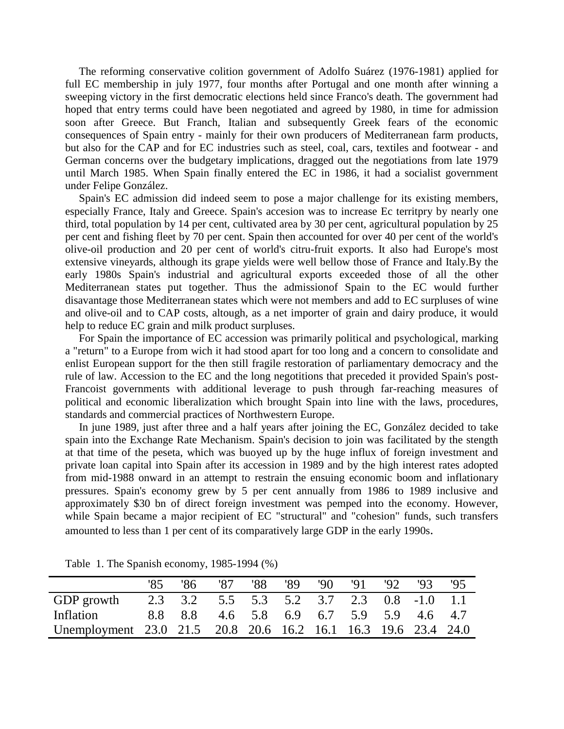The reforming conservative colition government of Adolfo Suárez (1976-1981) applied for full EC membership in july 1977, four months after Portugal and one month after winning a sweeping victory in the first democratic elections held since Franco's death. The government had hoped that entry terms could have been negotiated and agreed by 1980, in time for admission soon after Greece. But Franch, Italian and subsequently Greek fears of the economic consequences of Spain entry - mainly for their own producers of Mediterranean farm products, but also for the CAP and for EC industries such as steel, coal, cars, textiles and footwear - and German concerns over the budgetary implications, dragged out the negotiations from late 1979 until March 1985. When Spain finally entered the EC in 1986, it had a socialist government under Felipe González.

 Spain's EC admission did indeed seem to pose a major challenge for its existing members, especially France, Italy and Greece. Spain's accesion was to increase Ec territpry by nearly one third, total population by 14 per cent, cultivated area by 30 per cent, agricultural population by 25 per cent and fishing fleet by 70 per cent. Spain then accounted for over 40 per cent of the world's olive-oil production and 20 per cent of world's citru-fruit exports. It also had Europe's most extensive vineyards, although its grape yields were well bellow those of France and Italy.By the early 1980s Spain's industrial and agricultural exports exceeded those of all the other Mediterranean states put together. Thus the admissionof Spain to the EC would further disavantage those Mediterranean states which were not members and add to EC surpluses of wine and olive-oil and to CAP costs, altough, as a net importer of grain and dairy produce, it would help to reduce EC grain and milk product surpluses.

 For Spain the importance of EC accession was primarily political and psychological, marking a "return" to a Europe from wich it had stood apart for too long and a concern to consolidate and enlist European support for the then still fragile restoration of parliamentary democracy and the rule of law. Accession to the EC and the long negotitions that preceded it provided Spain's post-Francoist governments with additional leverage to push through far-reaching measures of political and economic liberalization which brought Spain into line with the laws, procedures, standards and commercial practices of Northwestern Europe.

 In june 1989, just after three and a half years after joining the EC, González decided to take spain into the Exchange Rate Mechanism. Spain's decision to join was facilitated by the stength at that time of the peseta, which was buoyed up by the huge influx of foreign investment and private loan capital into Spain after its accession in 1989 and by the high interest rates adopted from mid-1988 onward in an attempt to restrain the ensuing economic boom and inflationary pressures. Spain's economy grew by 5 per cent annually from 1986 to 1989 inclusive and approximately \$30 bn of direct foreign investment was pemped into the economy. However, while Spain became a major recipient of EC "structural" and "cohesion" funds, such transfers amounted to less than 1 per cent of its comparatively large GDP in the early 1990s.

|                                                                |         | '87.                                     |      | '89 | $90 \t 91$ | $92^{\circ}$ | 93 | '95 |
|----------------------------------------------------------------|---------|------------------------------------------|------|-----|------------|--------------|----|-----|
|                                                                | '86     |                                          | '88' |     |            |              |    |     |
| GDP growth                                                     |         | 2.3 3.2 5.5 5.3 5.2 3.7 2.3 0.8 -1.0 1.1 |      |     |            |              |    |     |
| Inflation                                                      | 8.8 8.8 | 4.6 5.8 6.9 6.7 5.9 5.9 4.6 4.7          |      |     |            |              |    |     |
| Unemployment 23.0 21.5 20.8 20.6 16.2 16.1 16.3 19.6 23.4 24.0 |         |                                          |      |     |            |              |    |     |

Table 1. The Spanish economy, 1985-1994 (%)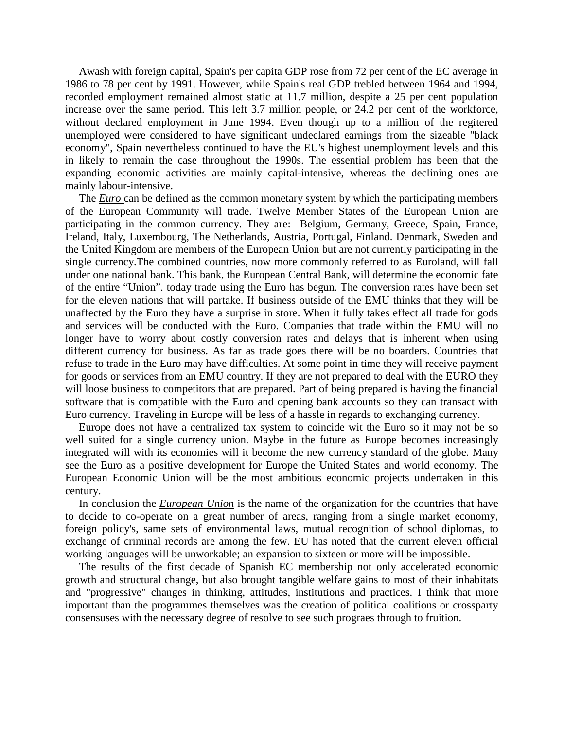Awash with foreign capital, Spain's per capita GDP rose from 72 per cent of the EC average in 1986 to 78 per cent by 1991. However, while Spain's real GDP trebled between 1964 and 1994, recorded employment remained almost static at 11.7 million, despite a 25 per cent population increase over the same period. This left 3.7 million people, or 24.2 per cent of the workforce, without declared employment in June 1994. Even though up to a million of the regitered unemployed were considered to have significant undeclared earnings from the sizeable "black economy", Spain nevertheless continued to have the EU's highest unemployment levels and this in likely to remain the case throughout the 1990s. The essential problem has been that the expanding economic activities are mainly capital-intensive, whereas the declining ones are mainly labour-intensive.

 The *Euro* can be defined as the common monetary system by which the participating members of the European Community will trade. Twelve Member States of the European Union are participating in the common currency. They are: Belgium, Germany, Greece, Spain, France, Ireland, Italy, Luxembourg, The Netherlands, Austria, Portugal, Finland. Denmark, Sweden and the United Kingdom are members of the European Union but are not currently participating in the single currency.The combined countries, now more commonly referred to as Euroland, will fall under one national bank. This bank, the European Central Bank, will determine the economic fate of the entire "Union". today trade using the Euro has begun. The conversion rates have been set for the eleven nations that will partake. If business outside of the EMU thinks that they will be unaffected by the Euro they have a surprise in store. When it fully takes effect all trade for gods and services will be conducted with the Euro. Companies that trade within the EMU will no longer have to worry about costly conversion rates and delays that is inherent when using different currency for business. As far as trade goes there will be no boarders. Countries that refuse to trade in the Euro may have difficulties. At some point in time they will receive payment for goods or services from an EMU country. If they are not prepared to deal with the EURO they will loose business to competitors that are prepared. Part of being prepared is having the financial software that is compatible with the Euro and opening bank accounts so they can transact with Euro currency. Traveling in Europe will be less of a hassle in regards to exchanging currency.

 Europe does not have a centralized tax system to coincide wit the Euro so it may not be so well suited for a single currency union. Maybe in the future as Europe becomes increasingly integrated will with its economies will it become the new currency standard of the globe. Many see the Euro as a positive development for Europe the United States and world economy. The European Economic Union will be the most ambitious economic projects undertaken in this century.

 In conclusion the *European Union* is the name of the organization for the countries that have to decide to co-operate on a great number of areas, ranging from a single market economy, foreign policy's, same sets of environmental laws, mutual recognition of school diplomas, to exchange of criminal records are among the few. EU has noted that the current eleven official working languages will be unworkable; an expansion to sixteen or more will be impossible.

 The results of the first decade of Spanish EC membership not only accelerated economic growth and structural change, but also brought tangible welfare gains to most of their inhabitats and "progressive" changes in thinking, attitudes, institutions and practices. I think that more important than the programmes themselves was the creation of political coalitions or crossparty consensuses with the necessary degree of resolve to see such prograes through to fruition.